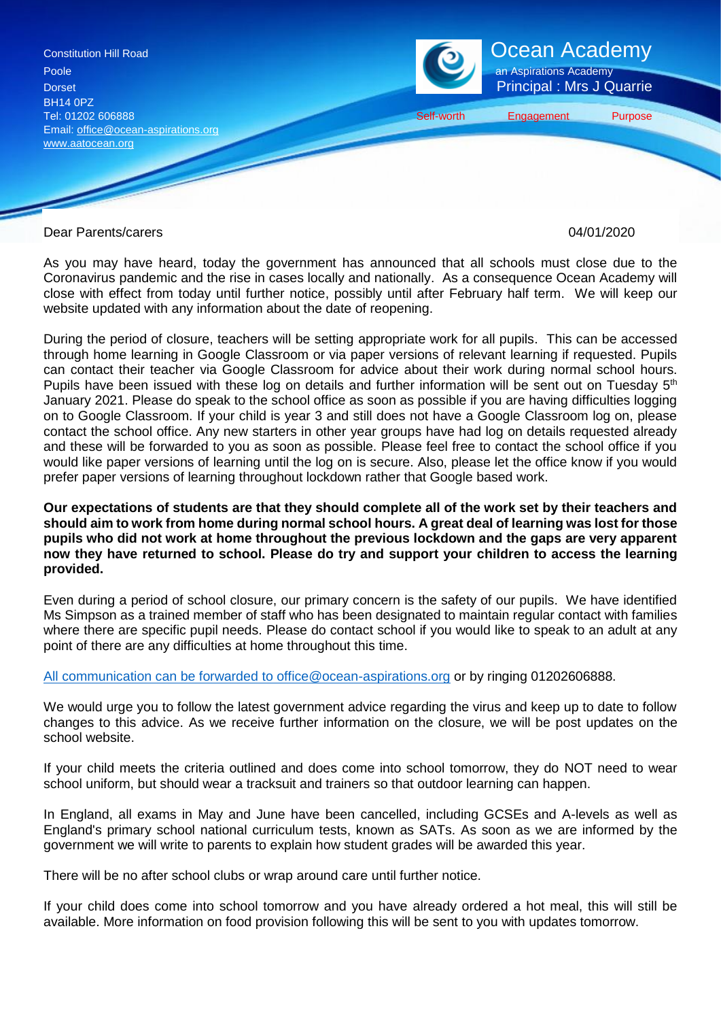

Dear Parents/carers 04/01/2020

As you may have heard, today the government has announced that all schools must close due to the Coronavirus pandemic and the rise in cases locally and nationally. As a consequence Ocean Academy will close with effect from today until further notice, possibly until after February half term. We will keep our website updated with any information about the date of reopening.

During the period of closure, teachers will be setting appropriate work for all pupils. This can be accessed through home learning in Google Classroom or via paper versions of relevant learning if requested. Pupils can contact their teacher via Google Classroom for advice about their work during normal school hours. Pupils have been issued with these log on details and further information will be sent out on Tuesday 5<sup>th</sup> January 2021. Please do speak to the school office as soon as possible if you are having difficulties logging on to Google Classroom. If your child is year 3 and still does not have a Google Classroom log on, please contact the school office. Any new starters in other year groups have had log on details requested already and these will be forwarded to you as soon as possible. Please feel free to contact the school office if you would like paper versions of learning until the log on is secure. Also, please let the office know if you would prefer paper versions of learning throughout lockdown rather that Google based work.

### **Our expectations of students are that they should complete all of the work set by their teachers and should aim to work from home during normal school hours. A great deal of learning was lost for those pupils who did not work at home throughout the previous lockdown and the gaps are very apparent now they have returned to school. Please do try and support your children to access the learning provided.**

Even during a period of school closure, our primary concern is the safety of our pupils. We have identified Ms Simpson as a trained member of staff who has been designated to maintain regular contact with families where there are specific pupil needs. Please do contact school if you would like to speak to an adult at any point of there are any difficulties at home throughout this time.

[All communication can be forwarded to office@ocean-aspirations.org](mailto:All%20communication%20can%20be%20forwarded%20to%20office@ocean-aspirations.org) or by ringing 01202606888.

We would urge you to follow the latest government advice regarding the virus and keep up to date to follow changes to this advice. As we receive further information on the closure, we will be post updates on the school website.

If your child meets the criteria outlined and does come into school tomorrow, they do NOT need to wear school uniform, but should wear a tracksuit and trainers so that outdoor learning can happen.

In England, all exams in May and June have been cancelled, including GCSEs and A-levels as well as England's primary school national curriculum tests, known as SATs. As soon as we are informed by the government we will write to parents to explain how student grades will be awarded this year.

There will be no after school clubs or wrap around care until further notice.

If your child does come into school tomorrow and you have already ordered a hot meal, this will still be available. More information on food provision following this will be sent to you with updates tomorrow.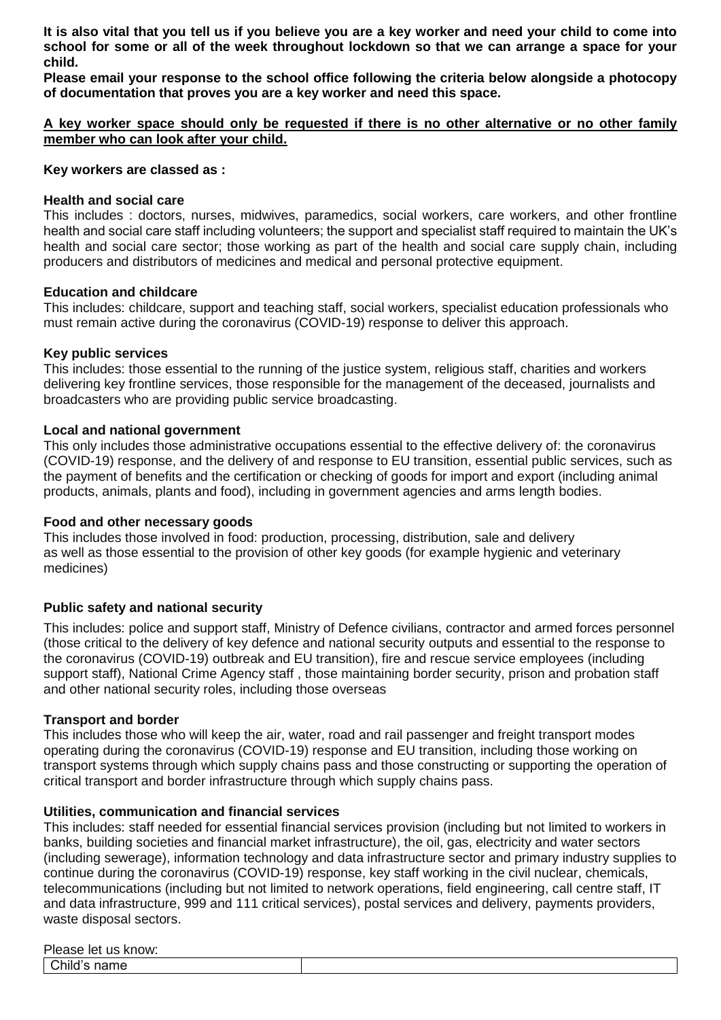**It is also vital that you tell us if you believe you are a key worker and need your child to come into school for some or all of the week throughout lockdown so that we can arrange a space for your child.**

**Please email your response to the school office following the criteria below alongside a photocopy of documentation that proves you are a key worker and need this space.** 

# **A key worker space should only be requested if there is no other alternative or no other family member who can look after your child.**

#### **Key workers are classed as :**

### **Health and social care**

This includes : doctors, nurses, midwives, paramedics, social workers, care workers, and other frontline health and social care staff including volunteers; the support and specialist staff required to maintain the UK's health and social care sector; those working as part of the health and social care supply chain, including producers and distributors of medicines and medical and personal protective equipment.

### **Education and childcare**

This includes: childcare, support and teaching staff, social workers, specialist education professionals who must remain active during the coronavirus (COVID-19) response to deliver this approach.

### **Key public services**

This includes: those essential to the running of the justice system, religious staff, charities and workers delivering key frontline services, those responsible for the management of the deceased, journalists and broadcasters who are providing public service broadcasting.

### **Local and national government**

This only includes those administrative occupations essential to the effective delivery of: the coronavirus (COVID-19) response, and the delivery of and response to EU transition, essential public services, such as the payment of benefits and the certification or checking of goods for import and export (including animal products, animals, plants and food), including in government agencies and arms length bodies.

# **Food and other necessary goods**

This includes those involved in food: production, processing, distribution, sale and delivery as well as those essential to the provision of other key goods (for example hygienic and veterinary medicines)

# **Public safety and national security**

This includes: police and support staff, Ministry of Defence civilians, contractor and armed forces personnel (those critical to the delivery of key defence and national security outputs and essential to the response to the coronavirus (COVID-19) outbreak and EU transition), fire and rescue service employees (including support staff), National Crime Agency staff , those maintaining border security, prison and probation staff and other national security roles, including those overseas

#### **Transport and border**

This includes those who will keep the air, water, road and rail passenger and freight transport modes operating during the coronavirus (COVID-19) response and EU transition, including those working on transport systems through which supply chains pass and those constructing or supporting the operation of critical transport and border infrastructure through which supply chains pass.

#### **Utilities, communication and financial services**

This includes: staff needed for essential financial services provision (including but not limited to workers in banks, building societies and financial market infrastructure), the oil, gas, electricity and water sectors (including sewerage), information technology and data infrastructure sector and primary industry supplies to continue during the coronavirus (COVID-19) response, key staff working in the civil nuclear, chemicals, telecommunications (including but not limited to network operations, field engineering, call centre staff, IT and data infrastructure, 999 and 111 critical services), postal services and delivery, payments providers, waste disposal sectors.

Please let us know:

Child's name